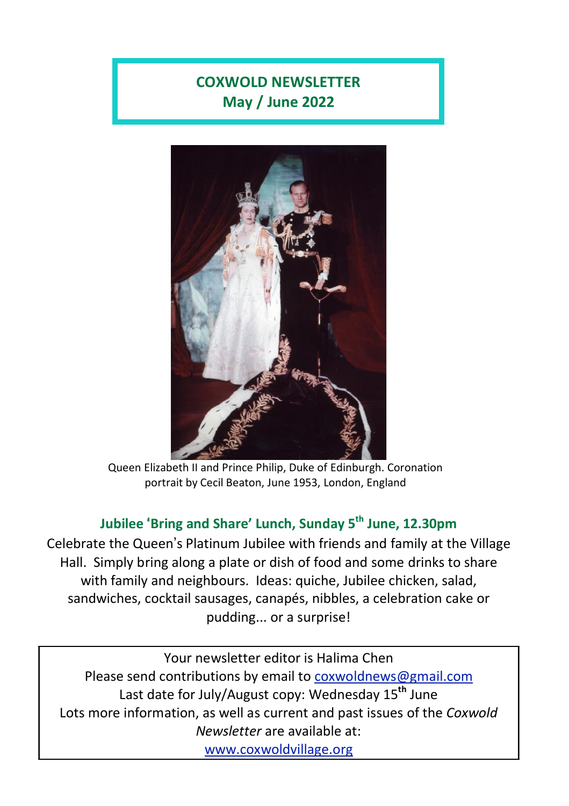# **COXWOLD NEWSLETTER May / June 2022**



Queen Elizabeth II and Prince Philip, Duke of Edinburgh. Coronation portrait by Cecil Beaton, June 1953, London, England

## **Jubilee** '**Bring and Share' Lunch, Sunday 5 th June, 12.30pm**

Celebrate the Queen's Platinum Jubilee with friends and family at the Village Hall. Simply bring along a plate or dish of food and some drinks to share with family and neighbours. Ideas: quiche, Jubilee chicken, salad, sandwiches, cocktail sausages, canapés, nibbles, a celebration cake or pudding... or a surprise!

Your newsletter editor is Halima Chen Please send contributions by email to [coxwoldnews@gmail.com](mailto:coxwoldnews@gmail.com) Last date for July/August copy: Wednesday 15**th** June Lots more information, as well as current and past issues of the *Coxwold Newsletter* are available at: [www.coxwoldvillage.org](http://www.coxwoldvillage.org/)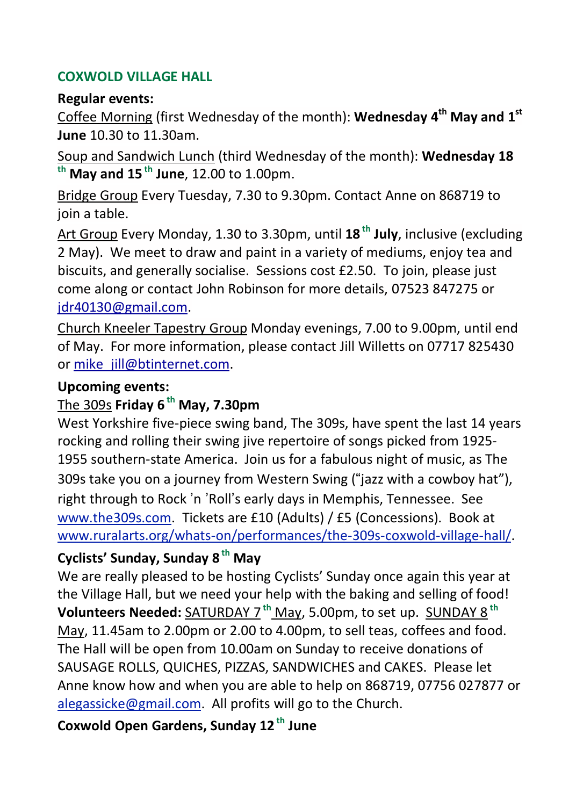### **COXWOLD VILLAGE HALL**

### **Regular events:**

Coffee Morning (first Wednesday of the month): **Wednesday 4 th May and 1 st June** 10.30 to 11.30am.

Soup and Sandwich Lunch (third Wednesday of the month): **Wednesday 18 th May and 15 th June**, 12.00 to 1.00pm.

Bridge Group Every Tuesday, 7.30 to 9.30pm. Contact Anne on 868719 to join a table.

Art Group Every Monday, 1.30 to 3.30pm, until **18 th July**, inclusive (excluding 2 May). We meet to draw and paint in a variety of mediums, enjoy tea and biscuits, and generally socialise. Sessions cost £2.50. To join, please just come along or contact John Robinson for more details, 07523 847275 or [jdr40130@gmail.com.](mailto:jdr40130@gmail.com)

Church Kneeler Tapestry Group Monday evenings, 7.00 to 9.00pm, until end of May. For more information, please contact Jill Willetts on 07717 825430 or [mike\\_jill@btinternet.com.](mailto:mike_jill@btinternet.com)

### **Upcoming events:**

## The 309s **Friday 6 th May, 7.30pm**

West Yorkshire five-piece swing band, The 309s, have spent the last 14 years rocking and rolling their swing jive repertoire of songs picked from 1925- 1955 southern-state America. Join us for a fabulous night of music, as The 309s take you on a journey from Western Swing ("jazz with a cowboy hat"), right through to Rock 'n 'Roll's early days in Memphis, Tennessee. See [www.the309s.com.](http://www.the309s.com/) Tickets are £10 (Adults) / £5 (Concessions). Book at [www.ruralarts.org/whats-on/performances/the-309s-coxwold-village-hall/.](http://www.ruralarts.org/whats-on/performances/the-309s-coxwold-village-hall/)

## **Cyclists' Sunday, Sunday 8 th May**

We are really pleased to be hosting Cyclists' Sunday once again this year at the Village Hall, but we need your help with the baking and selling of food! **Volunteers Needed:** SATURDAY 7 **th** May, 5.00pm, to set up. SUNDAY 8 **th** May, 11.45am to 2.00pm or 2.00 to 4.00pm, to sell teas, coffees and food. The Hall will be open from 10.00am on Sunday to receive donations of SAUSAGE ROLLS, QUICHES, PIZZAS, SANDWICHES and CAKES. Please let Anne know how and when you are able to help on 868719, 07756 027877 or [alegassicke@gmail.com.](mailto:alegassicke@gmail.com) All profits will go to the Church.

**Coxwold Open Gardens, Sunday 12 th June**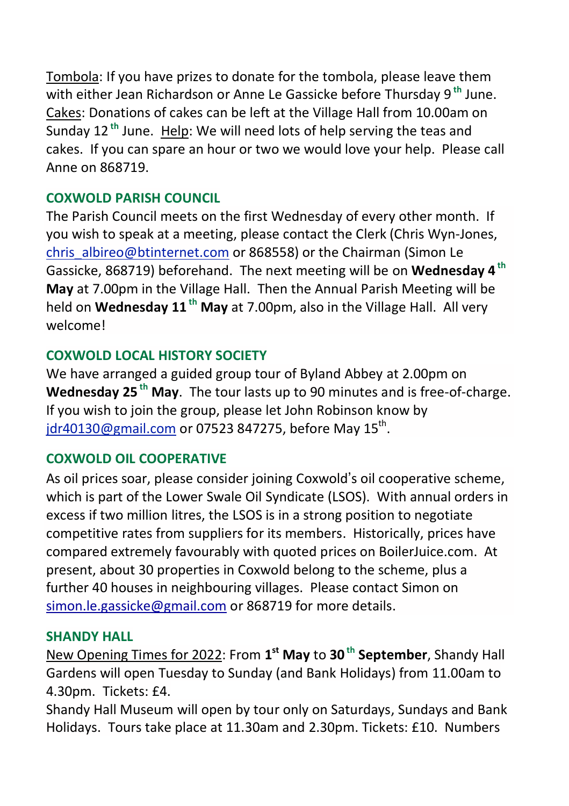Tombola: If you have prizes to donate for the tombola, please leave them with either Jean Richardson or Anne Le Gassicke before Thursday 9 **th** June. Cakes: Donations of cakes can be left at the Village Hall from 10.00am on Sunday 12 **th** June. Help: We will need lots of help serving the teas and cakes. If you can spare an hour or two we would love your help. Please call Anne on 868719.

## **COXWOLD PARISH COUNCIL**

The Parish Council meets on the first Wednesday of every other month. If you wish to speak at a meeting, please contact the Clerk (Chris Wyn-Jones, [chris\\_albireo@btinternet.com](mailto:chris_albireo@btinternet.com) or 868558) or the Chairman (Simon Le Gassicke, 868719) beforehand. The next meeting will be on **Wednesday 4 th May** at 7.00pm in the Village Hall. Then the Annual Parish Meeting will be held on **Wednesday 11 th May** at 7.00pm, also in the Village Hall. All very welcome!

## **COXWOLD LOCAL HISTORY SOCIETY**

We have arranged a guided group tour of Byland Abbey at 2.00pm on **Wednesday 25 th May**. The tour lasts up to 90 minutes and is free-of-charge. If you wish to join the group, please let John Robinson know by [jdr40130@gmail.com](mailto:jdr40130@gmail.com) or 07523 847275, before May 15<sup>th</sup>.

## **COXWOLD OIL COOPERATIVE**

As oil prices soar, please consider joining Coxwold's oil cooperative scheme, which is part of the Lower Swale Oil Syndicate (LSOS). With annual orders in excess if two million litres, the LSOS is in a strong position to negotiate competitive rates from suppliers for its members. Historically, prices have compared extremely favourably with quoted prices on BoilerJuice.com. At present, about 30 properties in Coxwold belong to the scheme, plus a further 40 houses in neighbouring villages. Please contact Simon on [simon.le.gassicke@gmail.com](mailto:simon.le.gassicke@gmail.com) or 868719 for more details.

## **SHANDY HALL**

New Opening Times for 2022: From **1 st May** to **30 th September**, Shandy Hall Gardens will open Tuesday to Sunday (and Bank Holidays) from 11.00am to 4.30pm. Tickets: £4.

Shandy Hall Museum will open by tour only on Saturdays, Sundays and Bank Holidays. Tours take place at 11.30am and 2.30pm. Tickets: £10. Numbers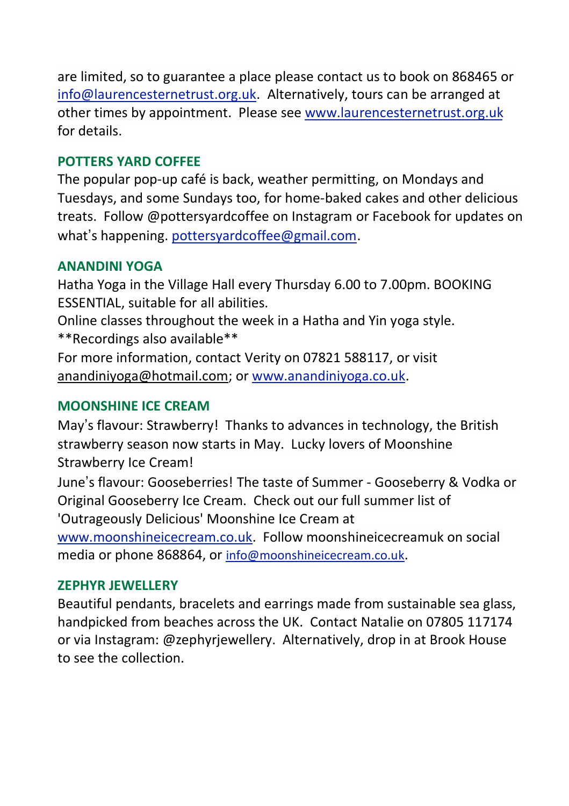are limited, so to guarantee a place please contact us to book on 868465 or [info@laurencesternetrust.org.uk.](mailto:info@laurencesternetrust.org.uk) Alternatively, tours can be arranged at other times by appointment. Please see [www.laurencesternetrust.org.uk](http://www.laurencesternetrust.org.uk/) for details.

### **POTTERS YARD COFFEE**

The popular pop-up café is back, weather permitting, on Mondays and Tuesdays, and some Sundays too, for home-baked cakes and other delicious treats. Follow @pottersyardcoffee on Instagram or Facebook for updates on what's happening. [pottersyardcoffee@gmail.com.](mailto:pottersyardcoffee@gmail.com)

### **ANANDINI YOGA**

Hatha Yoga in the Village Hall every Thursday 6.00 to 7.00pm. BOOKING ESSENTIAL, suitable for all abilities.

Online classes throughout the week in a Hatha and Yin yoga style. \*\*Recordings also available\*\*

For more information, contact Verity on 07821 588117, or visit [anandiniyoga@hotmail.com;](mailto:anandiniyoga@hotmail.com) or [www.anandiniyoga.co.uk.](http://www.anandiniyoga.co.uk/)

## **MOONSHINE ICE CREAM**

May's flavour: Strawberry! Thanks to advances in technology, the British strawberry season now starts in May. Lucky lovers of Moonshine Strawberry Ice Cream!

June's flavour: Gooseberries! The taste of Summer - Gooseberry & Vodka or Original Gooseberry Ice Cream. Check out our full summer list of 'Outrageously Delicious' Moonshine Ice Cream at

[www.moonshineicecream.co.uk.](http://www.moonshineicecream.co.uk/) Follow moonshineicecreamuk on social media or phone 868864, or [info@moonshineicecream.co.uk](mailto:info@moonshineicecream.co.uk).

### **ZEPHYR JEWELLERY**

Beautiful pendants, bracelets and earrings made from sustainable sea glass, handpicked from beaches across the UK. Contact Natalie on 07805 117174 or via Instagram: @zephyrjewellery. Alternatively, drop in at Brook House to see the collection.